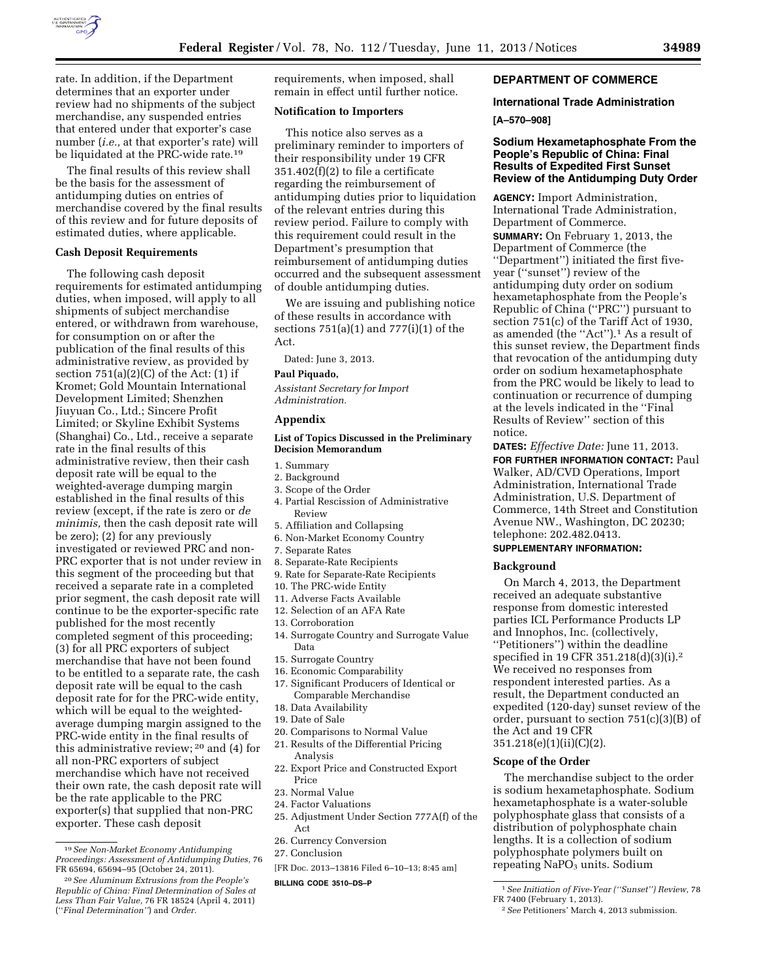

rate. In addition, if the Department determines that an exporter under review had no shipments of the subject merchandise, any suspended entries that entered under that exporter's case number (*i.e.,* at that exporter's rate) will be liquidated at the PRC-wide rate.19

The final results of this review shall be the basis for the assessment of antidumping duties on entries of merchandise covered by the final results of this review and for future deposits of estimated duties, where applicable.

### **Cash Deposit Requirements**

The following cash deposit requirements for estimated antidumping duties, when imposed, will apply to all shipments of subject merchandise entered, or withdrawn from warehouse, for consumption on or after the publication of the final results of this administrative review, as provided by section  $751(a)(2)(C)$  of the Act:  $(1)$  if Kromet; Gold Mountain International Development Limited; Shenzhen Jiuyuan Co., Ltd.; Sincere Profit Limited; or Skyline Exhibit Systems (Shanghai) Co., Ltd., receive a separate rate in the final results of this administrative review, then their cash deposit rate will be equal to the weighted-average dumping margin established in the final results of this review (except, if the rate is zero or *de minimis,* then the cash deposit rate will be zero); (2) for any previously investigated or reviewed PRC and non-PRC exporter that is not under review in this segment of the proceeding but that received a separate rate in a completed prior segment, the cash deposit rate will continue to be the exporter-specific rate published for the most recently completed segment of this proceeding; (3) for all PRC exporters of subject merchandise that have not been found to be entitled to a separate rate, the cash deposit rate will be equal to the cash deposit rate for for the PRC-wide entity, which will be equal to the weightedaverage dumping margin assigned to the PRC-wide entity in the final results of this administrative review; 20 and (4) for all non-PRC exporters of subject merchandise which have not received their own rate, the cash deposit rate will be the rate applicable to the PRC exporter(s) that supplied that non-PRC exporter. These cash deposit

requirements, when imposed, shall remain in effect until further notice.

## **Notification to Importers**

This notice also serves as a preliminary reminder to importers of their responsibility under 19 CFR 351.402(f)(2) to file a certificate regarding the reimbursement of antidumping duties prior to liquidation of the relevant entries during this review period. Failure to comply with this requirement could result in the Department's presumption that reimbursement of antidumping duties occurred and the subsequent assessment of double antidumping duties.

We are issuing and publishing notice of these results in accordance with sections  $751(a)(1)$  and  $777(i)(1)$  of the Act.

Dated: June 3, 2013.

#### **Paul Piquado,**

*Assistant Secretary for Import Administration.* 

# **Appendix**

# **List of Topics Discussed in the Preliminary Decision Memorandum**

- 1. Summary
- 2. Background
- 3. Scope of the Order
- 4. Partial Rescission of Administrative Review
- 5. Affiliation and Collapsing
- 6. Non-Market Economy Country
- 7. Separate Rates
- 8. Separate-Rate Recipients
- 9. Rate for Separate-Rate Recipients
- 10. The PRC-wide Entity
- 11. Adverse Facts Available
- 12. Selection of an AFA Rate
- 13. Corroboration
- 14. Surrogate Country and Surrogate Value Data
- 15. Surrogate Country
- 16. Economic Comparability
- 17. Significant Producers of Identical or Comparable Merchandise
- 18. Data Availability
- 19. Date of Sale
- 20. Comparisons to Normal Value
- 21. Results of the Differential Pricing
- Analysis 22. Export Price and Constructed Export Price
- 23. Normal Value
- 24. Factor Valuations
- 25. Adjustment Under Section 777A(f) of the Act
- 26. Currency Conversion
- 27. Conclusion

[FR Doc. 2013–13816 Filed 6–10–13; 8:45 am]

**BILLING CODE 3510–DS–P** 

# **DEPARTMENT OF COMMERCE**

# **International Trade Administration**

### **[A–570–908]**

# **Sodium Hexametaphosphate From the People's Republic of China: Final Results of Expedited First Sunset Review of the Antidumping Duty Order**

**AGENCY:** Import Administration, International Trade Administration, Department of Commerce. **SUMMARY:** On February 1, 2013, the Department of Commerce (the ''Department'') initiated the first fiveyear (''sunset'') review of the antidumping duty order on sodium hexametaphosphate from the People's Republic of China (''PRC'') pursuant to section 751(c) of the Tariff Act of 1930, as amended (the ''Act'').1 As a result of this sunset review, the Department finds that revocation of the antidumping duty order on sodium hexametaphosphate from the PRC would be likely to lead to continuation or recurrence of dumping at the levels indicated in the ''Final Results of Review'' section of this notice.

**DATES:** *Effective Date:* June 11, 2013. **FOR FURTHER INFORMATION CONTACT:** Paul Walker, AD/CVD Operations, Import Administration, International Trade Administration, U.S. Department of Commerce, 14th Street and Constitution Avenue NW., Washington, DC 20230; telephone: 202.482.0413.

### **SUPPLEMENTARY INFORMATION:**

#### **Background**

On March 4, 2013, the Department received an adequate substantive response from domestic interested parties ICL Performance Products LP and Innophos, Inc. (collectively, ''Petitioners'') within the deadline specified in 19 CFR 351.218(d)(3)(i).2 We received no responses from respondent interested parties. As a result, the Department conducted an expedited (120-day) sunset review of the order, pursuant to section 751(c)(3)(B) of the Act and 19 CFR 351.218(e)(1)(ii)(C)(2).

## **Scope of the Order**

The merchandise subject to the order is sodium hexametaphosphate. Sodium hexametaphosphate is a water-soluble polyphosphate glass that consists of a distribution of polyphosphate chain lengths. It is a collection of sodium polyphosphate polymers built on repeating  $NaPO<sub>3</sub>$  units. Sodium

<sup>19</sup>*See Non-Market Economy Antidumping Proceedings: Assessment of Antidumping Duties,* 76 FR 65694, 65694–95 (October 24, 2011).

<sup>20</sup>*See Aluminum Extrusions from the People's Republic of China: Final Determination of Sales at Less Than Fair Value,* 76 FR 18524 (April 4, 2011) (''*Final Determination''*) and *Order.* 

<sup>1</sup>*See Initiation of Five-Year (''Sunset'') Review,* 78 FR 7400 (February 1, 2013).

<sup>2</sup>*See* Petitioners' March 4, 2013 submission.